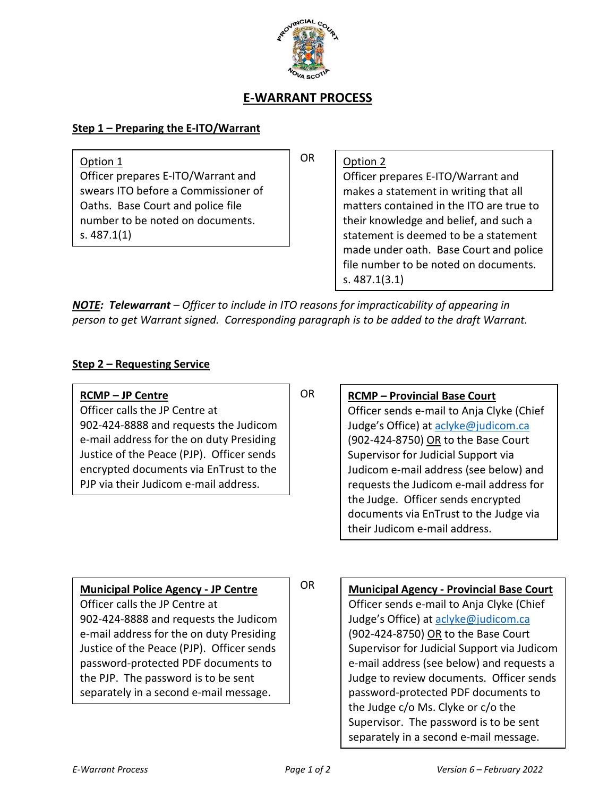

# **E-WARRANT PROCESS**

#### **Step 1 – Preparing the E-ITO/Warrant**

Option 1 Officer prepares E-ITO/Warrant and swears ITO before a Commissioner of Oaths. Base Court and police file number to be noted on documents. s. 487.1(1)

OR

Option 2 Officer prepares E-ITO/Warrant and makes a statement in writing that all matters contained in the ITO are true to their knowledge and belief, and such a statement is deemed to be a statement made under oath. Base Court and police file number to be noted on documents. s. 487.1(3.1)

*NOTE: Telewarrant – Officer to include in ITO reasons for impracticability of appearing in person to get Warrant signed. Corresponding paragraph is to be added to the draft Warrant.*

OR

### **Step 2 – Requesting Service**

**RCMP – JP Centre** Officer calls the JP Centre at 902-424-8888 and requests the Judicom e-mail address for the on duty Presiding Justice of the Peace (PJP). Officer sends encrypted documents via EnTrust to the PJP via their Judicom e-mail address.

**RCMP – Provincial Base Court**

Officer sends e-mail to Anja Clyke (Chief Judge's Office) at aclyke@judicom.ca (902-424-8750) OR to the Base Court Supervisor for Judicial Support via Judicom e-mail address (see below) and requests the Judicom e-mail address for the Judge. Officer sends encrypted documents via EnTrust to the Judge via their Judicom e-mail address.

**Municipal Police Agency - JP Centre** Officer calls the JP Centre at 902-424-8888 and requests the Judicom e-mail address for the on duty Presiding Justice of the Peace (PJP). Officer sends password-protected PDF documents to the PJP. The password is to be sent separately in a second e-mail message.

#### OR

**Municipal Agency - Provincial Base Court** Officer sends e-mail to Anja Clyke (Chief Judge's Office) at aclyke@judicom.ca (902-424-8750) OR to the Base Court Supervisor for Judicial Support via Judicom e-mail address (see below) and requests a Judge to review documents. Officer sends password-protected PDF documents to the Judge c/o Ms. Clyke or c/o the Supervisor. The password is to be sent separately in a second e-mail message.